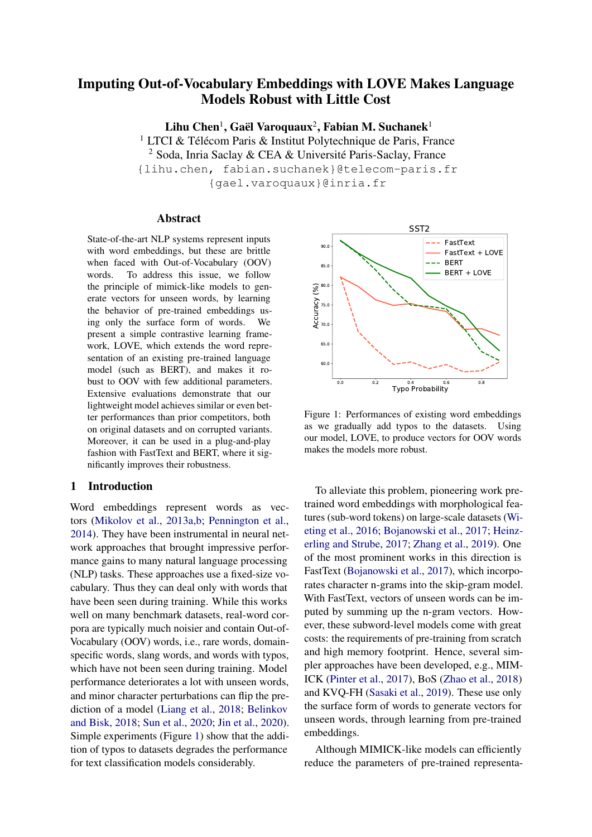# Imputing Out-of-Vocabulary Embeddings with LOVE Makes Language Models Robust with Little Cost

Lihu Chen $^1$ , Gaël Varoquaux $^2$ , Fabian M. Suchanek $^1$ 

<sup>1</sup> LTCI & Télécom Paris & Institut Polytechnique de Paris, France

<sup>2</sup> Soda, Inria Saclay & CEA & Université Paris-Saclay, France

{lihu.chen, fabian.suchanek}@telecom-paris.fr {gael.varoquaux}@inria.fr

#### Abstract

State-of-the-art NLP systems represent inputs with word embeddings, but these are brittle when faced with Out-of-Vocabulary (OOV) words. To address this issue, we follow the principle of mimick-like models to generate vectors for unseen words, by learning the behavior of pre-trained embeddings using only the surface form of words. We present a simple contrastive learning framework, LOVE, which extends the word representation of an existing pre-trained language model (such as BERT), and makes it robust to OOV with few additional parameters. Extensive evaluations demonstrate that our lightweight model achieves similar or even better performances than prior competitors, both on original datasets and on corrupted variants. Moreover, it can be used in a plug-and-play fashion with FastText and BERT, where it significantly improves their robustness.

## 1 Introduction

Word embeddings represent words as vectors [\(Mikolov et al.,](#page-10-0) [2013a](#page-10-0)[,b;](#page-10-1) [Pennington et al.,](#page-10-2) [2014\)](#page-10-2). They have been instrumental in neural network approaches that brought impressive performance gains to many natural language processing (NLP) tasks. These approaches use a fixed-size vocabulary. Thus they can deal only with words that have been seen during training. While this works well on many benchmark datasets, real-word corpora are typically much noisier and contain Out-of-Vocabulary (OOV) words, i.e., rare words, domainspecific words, slang words, and words with typos, which have not been seen during training. Model performance deteriorates a lot with unseen words, and minor character perturbations can flip the prediction of a model [\(Liang et al.,](#page-10-3) [2018;](#page-10-3) [Belinkov](#page-9-0) [and Bisk,](#page-9-0) [2018;](#page-9-0) [Sun et al.,](#page-11-0) [2020;](#page-11-0) [Jin et al.,](#page-10-4) [2020\)](#page-10-4). Simple experiments (Figure [1\)](#page-0-0) show that the addition of typos to datasets degrades the performance for text classification models considerably.

<span id="page-0-0"></span>

Figure 1: Performances of existing word embeddings as we gradually add typos to the datasets. Using our model, LOVE, to produce vectors for OOV words makes the models more robust.

To alleviate this problem, pioneering work pretrained word embeddings with morphological features (sub-word tokens) on large-scale datasets [\(Wi](#page-11-1)[eting et al.,](#page-11-1) [2016;](#page-11-1) [Bojanowski et al.,](#page-9-1) [2017;](#page-9-1) [Heinz](#page-9-2)[erling and Strube,](#page-9-2) [2017;](#page-9-2) [Zhang et al.,](#page-11-2) [2019\)](#page-11-2). One of the most prominent works in this direction is FastText [\(Bojanowski et al.,](#page-9-1) [2017\)](#page-9-1), which incorporates character n-grams into the skip-gram model. With FastText, vectors of unseen words can be imputed by summing up the n-gram vectors. However, these subword-level models come with great costs: the requirements of pre-training from scratch and high memory footprint. Hence, several simpler approaches have been developed, e.g., MIM-ICK [\(Pinter et al.,](#page-11-3) [2017\)](#page-11-3), BoS [\(Zhao et al.,](#page-11-4) [2018\)](#page-11-4) and KVQ-FH [\(Sasaki et al.,](#page-11-5) [2019\)](#page-11-5). These use only the surface form of words to generate vectors for unseen words, through learning from pre-trained embeddings.

Although MIMICK-like models can efficiently reduce the parameters of pre-trained representa-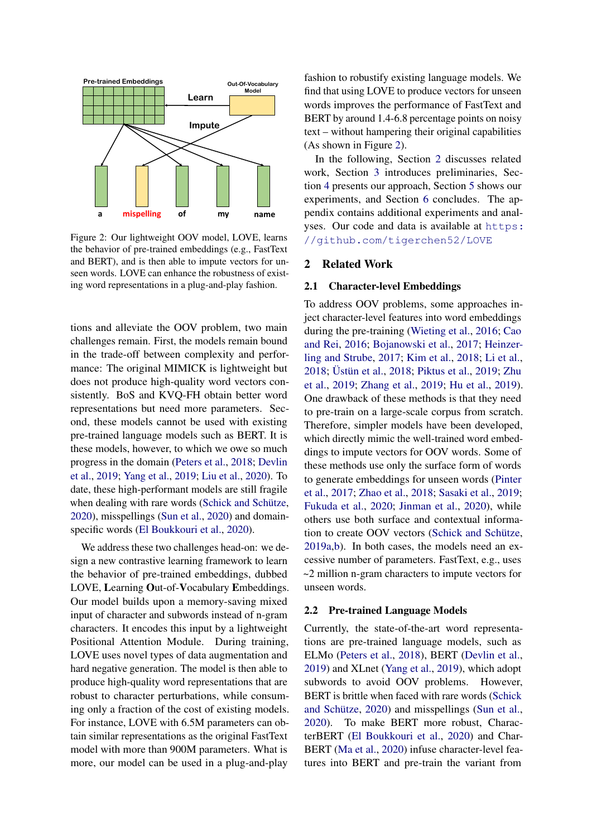<span id="page-1-0"></span>

Figure 2: Our lightweight OOV model, LOVE, learns the behavior of pre-trained embeddings (e.g., FastText and BERT), and is then able to impute vectors for unseen words. LOVE can enhance the robustness of existing word representations in a plug-and-play fashion.

tions and alleviate the OOV problem, two main challenges remain. First, the models remain bound in the trade-off between complexity and performance: The original MIMICK is lightweight but does not produce high-quality word vectors consistently. BoS and KVQ-FH obtain better word representations but need more parameters. Second, these models cannot be used with existing pre-trained language models such as BERT. It is these models, however, to which we owe so much progress in the domain [\(Peters et al.,](#page-10-5) [2018;](#page-10-5) [Devlin](#page-9-3) [et al.,](#page-9-3) [2019;](#page-9-3) [Yang et al.,](#page-11-6) [2019;](#page-11-6) [Liu et al.,](#page-10-6) [2020\)](#page-10-6). To date, these high-performant models are still fragile when dealing with rare words [\(Schick and Schütze,](#page-11-7) [2020\)](#page-11-7), misspellings [\(Sun et al.,](#page-11-0) [2020\)](#page-11-0) and domainspecific words [\(El Boukkouri et al.,](#page-9-4) [2020\)](#page-9-4).

We address these two challenges head-on: we design a new contrastive learning framework to learn the behavior of pre-trained embeddings, dubbed LOVE, Learning Out-of-Vocabulary Embeddings. Our model builds upon a memory-saving mixed input of character and subwords instead of n-gram characters. It encodes this input by a lightweight Positional Attention Module. During training, LOVE uses novel types of data augmentation and hard negative generation. The model is then able to produce high-quality word representations that are robust to character perturbations, while consuming only a fraction of the cost of existing models. For instance, LOVE with 6.5M parameters can obtain similar representations as the original FastText model with more than 900M parameters. What is more, our model can be used in a plug-and-play

fashion to robustify existing language models. We find that using LOVE to produce vectors for unseen words improves the performance of FastText and BERT by around 1.4-6.8 percentage points on noisy text – without hampering their original capabilities (As shown in Figure [2\)](#page-1-0).

In the following, Section [2](#page-1-1) discusses related work, Section [3](#page-2-0) introduces preliminaries, Section [4](#page-3-0) presents our approach, Section [5](#page-5-0) shows our experiments, and Section [6](#page-8-0) concludes. The appendix contains additional experiments and analyses. Our code and data is available at [https:](https://github.com/tigerchen52/LOVE) [//github.com/tigerchen52/LOVE](https://github.com/tigerchen52/LOVE)

#### <span id="page-1-1"></span>2 Related Work

#### 2.1 Character-level Embeddings

To address OOV problems, some approaches inject character-level features into word embeddings during the pre-training [\(Wieting et al.,](#page-11-1) [2016;](#page-11-1) [Cao](#page-9-5) [and Rei,](#page-9-5) [2016;](#page-9-5) [Bojanowski et al.,](#page-9-1) [2017;](#page-9-1) [Heinzer](#page-9-2)[ling and Strube,](#page-9-2) [2017;](#page-9-2) [Kim et al.,](#page-10-7) [2018;](#page-10-7) [Li et al.,](#page-10-8) [2018;](#page-10-8) [Üstün et al.,](#page-11-8) [2018;](#page-11-8) [Piktus et al.,](#page-10-9) [2019;](#page-10-9) [Zhu](#page-12-0) [et al.,](#page-12-0) [2019;](#page-12-0) [Zhang et al.,](#page-11-2) [2019;](#page-11-2) [Hu et al.,](#page-10-10) [2019\)](#page-10-10). One drawback of these methods is that they need to pre-train on a large-scale corpus from scratch. Therefore, simpler models have been developed, which directly mimic the well-trained word embeddings to impute vectors for OOV words. Some of these methods use only the surface form of words to generate embeddings for unseen words [\(Pinter](#page-11-3) [et al.,](#page-11-3) [2017;](#page-11-3) [Zhao et al.,](#page-11-4) [2018;](#page-11-4) [Sasaki et al.,](#page-11-5) [2019;](#page-11-5) [Fukuda et al.,](#page-9-6) [2020;](#page-9-6) [Jinman et al.,](#page-10-11) [2020\)](#page-10-11), while others use both surface and contextual information to create OOV vectors [\(Schick and Schütze,](#page-11-9) [2019a](#page-11-9)[,b\)](#page-11-10). In both cases, the models need an excessive number of parameters. FastText, e.g., uses ~2 million n-gram characters to impute vectors for unseen words.

#### 2.2 Pre-trained Language Models

Currently, the state-of-the-art word representations are pre-trained language models, such as ELMo [\(Peters et al.,](#page-10-5) [2018\)](#page-10-5), BERT [\(Devlin et al.,](#page-9-3) [2019\)](#page-9-3) and XLnet [\(Yang et al.,](#page-11-6) [2019\)](#page-11-6), which adopt subwords to avoid OOV problems. However, BERT is brittle when faced with rare words [\(Schick](#page-11-7) [and Schütze,](#page-11-7) [2020\)](#page-11-7) and misspellings [\(Sun et al.,](#page-11-0) [2020\)](#page-11-0). To make BERT more robust, CharacterBERT [\(El Boukkouri et al.,](#page-9-4) [2020\)](#page-9-4) and Char-BERT [\(Ma et al.,](#page-10-12) [2020\)](#page-10-12) infuse character-level features into BERT and pre-train the variant from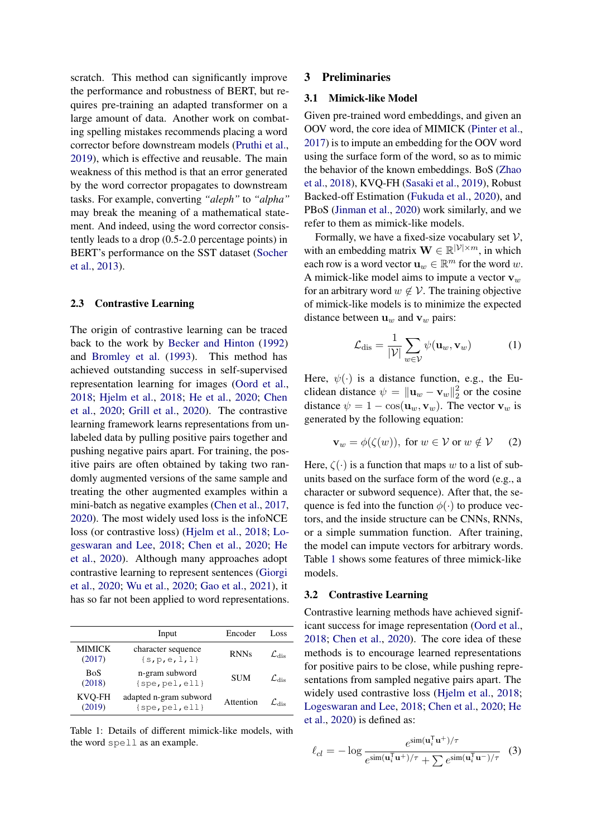scratch. This method can significantly improve the performance and robustness of BERT, but requires pre-training an adapted transformer on a large amount of data. Another work on combating spelling mistakes recommends placing a word corrector before downstream models [\(Pruthi et al.,](#page-11-11) [2019\)](#page-11-11), which is effective and reusable. The main weakness of this method is that an error generated by the word corrector propagates to downstream tasks. For example, converting *"aleph"* to *"alpha"* may break the meaning of a mathematical statement. And indeed, using the word corrector consistently leads to a drop (0.5-2.0 percentage points) in BERT's performance on the SST dataset [\(Socher](#page-11-12) [et al.,](#page-11-12) [2013\)](#page-11-12).

#### 2.3 Contrastive Learning

The origin of contrastive learning can be traced back to the work by [Becker and Hinton](#page-9-7) [\(1992\)](#page-9-7) and [Bromley et al.](#page-9-8) [\(1993\)](#page-9-8). This method has achieved outstanding success in self-supervised representation learning for images [\(Oord et al.,](#page-10-13) [2018;](#page-10-13) [Hjelm et al.,](#page-10-14) [2018;](#page-10-14) [He et al.,](#page-9-9) [2020;](#page-9-9) [Chen](#page-9-10) [et al.,](#page-9-10) [2020;](#page-9-10) [Grill et al.,](#page-9-11) [2020\)](#page-9-11). The contrastive learning framework learns representations from unlabeled data by pulling positive pairs together and pushing negative pairs apart. For training, the positive pairs are often obtained by taking two randomly augmented versions of the same sample and treating the other augmented examples within a mini-batch as negative examples [\(Chen et al.,](#page-9-12) [2017,](#page-9-12) [2020\)](#page-9-10). The most widely used loss is the infoNCE loss (or contrastive loss) [\(Hjelm et al.,](#page-10-14) [2018;](#page-10-14) [Lo](#page-10-15)[geswaran and Lee,](#page-10-15) [2018;](#page-10-15) [Chen et al.,](#page-9-10) [2020;](#page-9-10) [He](#page-9-9) [et al.,](#page-9-9) [2020\)](#page-9-9). Although many approaches adopt contrastive learning to represent sentences [\(Giorgi](#page-9-13) [et al.,](#page-9-13) [2020;](#page-9-13) [Wu et al.,](#page-11-13) [2020;](#page-11-13) [Gao et al.,](#page-9-14) [2021\)](#page-9-14), it has so far not been applied to word representations.

<span id="page-2-1"></span>

|                         | Input                                         | Encoder     | Loss                                 |
|-------------------------|-----------------------------------------------|-------------|--------------------------------------|
| <b>MIMICK</b><br>(2017) | character sequence<br>$\{s,p,e,1,1\}$         | <b>RNNs</b> | $\mathcal{L}_{\text{die}}$           |
| <b>BoS</b><br>(2018)    | n-gram subword<br>$\{spe, pel, ell\}$         | <b>SUM</b>  | $\mathcal{L}_{\mathsf{die}}$         |
| KVQ-FH<br>(2019)        | adapted n-gram subword<br>$\{spe, pel, ell\}$ | Attention   | $\mathcal{L}_{\mathcal{A}\text{ie}}$ |
|                         |                                               |             |                                      |

Table 1: Details of different mimick-like models, with the word spell as an example.

## <span id="page-2-0"></span>3 Preliminaries

#### <span id="page-2-3"></span>3.1 Mimick-like Model

Given pre-trained word embeddings, and given an OOV word, the core idea of MIMICK [\(Pinter et al.,](#page-11-3) [2017\)](#page-11-3) is to impute an embedding for the OOV word using the surface form of the word, so as to mimic the behavior of the known embeddings. BoS [\(Zhao](#page-11-4) [et al.,](#page-11-4) [2018\)](#page-11-4), KVQ-FH [\(Sasaki et al.,](#page-11-5) [2019\)](#page-11-5), Robust Backed-off Estimation [\(Fukuda et al.,](#page-9-6) [2020\)](#page-9-6), and PBoS [\(Jinman et al.,](#page-10-11) [2020\)](#page-10-11) work similarly, and we refer to them as mimick-like models.

Formally, we have a fixed-size vocabulary set  $V$ , with an embedding matrix  $\mathbf{W} \in \mathbb{R}^{|\mathcal{V}| \times m}$ , in which each row is a word vector  $\mathbf{u}_w \in \mathbb{R}^m$  for the word w. A mimick-like model aims to impute a vector  $v_w$ for an arbitrary word  $w \notin V$ . The training objective of mimick-like models is to minimize the expected distance between  $\mathbf{u}_w$  and  $\mathbf{v}_w$  pairs:

$$
\mathcal{L}_{\text{dis}} = \frac{1}{|\mathcal{V}|} \sum_{w \in \mathcal{V}} \psi(\mathbf{u}_w, \mathbf{v}_w)
$$
(1)

Here,  $\psi(\cdot)$  is a distance function, e.g., the Euclidean distance  $\psi = ||\mathbf{u}_w - \mathbf{v}_w||_2^2$  $\frac{2}{2}$  or the cosine distance  $\psi = 1 - \cos(\mathbf{u}_w, \mathbf{v}_w)$ . The vector  $\mathbf{v}_w$  is generated by the following equation:

$$
\mathbf{v}_w = \phi(\zeta(w)), \text{ for } w \in \mathcal{V} \text{ or } w \notin \mathcal{V} \qquad (2)
$$

Here,  $\zeta(\cdot)$  is a function that maps w to a list of subunits based on the surface form of the word (e.g., a character or subword sequence). After that, the sequence is fed into the function  $\phi(\cdot)$  to produce vectors, and the inside structure can be CNNs, RNNs, or a simple summation function. After training, the model can impute vectors for arbitrary words. Table [1](#page-2-1) shows some features of three mimick-like models.

## 3.2 Contrastive Learning

Contrastive learning methods have achieved significant success for image representation [\(Oord et al.,](#page-10-13) [2018;](#page-10-13) [Chen et al.,](#page-9-10) [2020\)](#page-9-10). The core idea of these methods is to encourage learned representations for positive pairs to be close, while pushing representations from sampled negative pairs apart. The widely used contrastive loss [\(Hjelm et al.,](#page-10-14) [2018;](#page-10-14) [Logeswaran and Lee,](#page-10-15) [2018;](#page-10-15) [Chen et al.,](#page-9-10) [2020;](#page-9-10) [He](#page-9-9) [et al.,](#page-9-9) [2020\)](#page-9-9) is defined as:

<span id="page-2-2"></span>
$$
\ell_{cl} = -\log \frac{e^{\text{sim}(\mathbf{u}_i^{\mathsf{T}} \mathbf{u}^+) / \tau}}{e^{\text{sim}(\mathbf{u}_i^{\mathsf{T}} \mathbf{u}^+) / \tau} + \sum e^{\text{sim}(\mathbf{u}_i^{\mathsf{T}} \mathbf{u}^-) / \tau}}
$$
(3)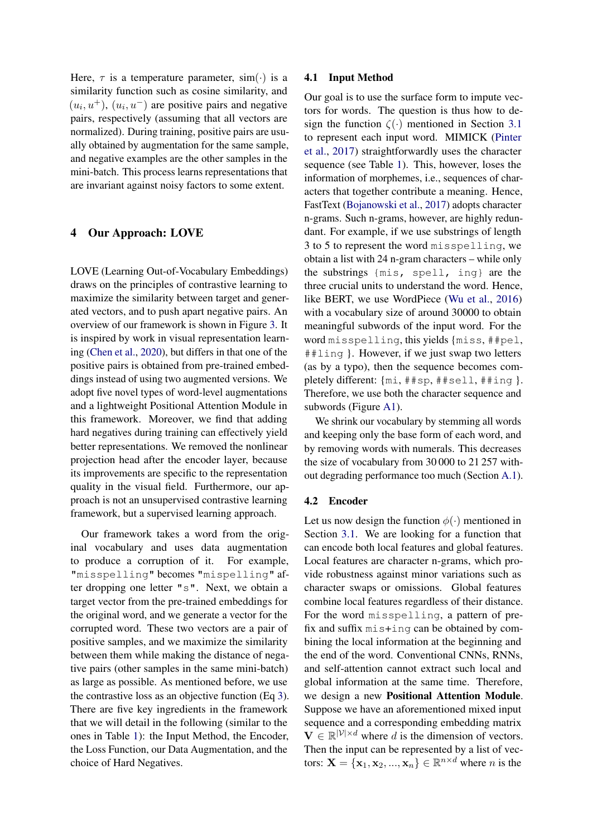Here,  $\tau$  is a temperature parameter, sim( $\cdot$ ) is a similarity function such as cosine similarity, and  $(u_i, u^+)$ ,  $(u_i, u^-)$  are positive pairs and negative pairs, respectively (assuming that all vectors are normalized). During training, positive pairs are usually obtained by augmentation for the same sample, and negative examples are the other samples in the mini-batch. This process learns representations that are invariant against noisy factors to some extent.

## <span id="page-3-0"></span>4 Our Approach: LOVE

LOVE (Learning Out-of-Vocabulary Embeddings) draws on the principles of contrastive learning to maximize the similarity between target and generated vectors, and to push apart negative pairs. An overview of our framework is shown in Figure [3.](#page-4-0) It is inspired by work in visual representation learning [\(Chen et al.,](#page-9-10) [2020\)](#page-9-10), but differs in that one of the positive pairs is obtained from pre-trained embeddings instead of using two augmented versions. We adopt five novel types of word-level augmentations and a lightweight Positional Attention Module in this framework. Moreover, we find that adding hard negatives during training can effectively yield better representations. We removed the nonlinear projection head after the encoder layer, because its improvements are specific to the representation quality in the visual field. Furthermore, our approach is not an unsupervised contrastive learning framework, but a supervised learning approach.

Our framework takes a word from the original vocabulary and uses data augmentation to produce a corruption of it. For example, "misspelling" becomes "mispelling" after dropping one letter "s". Next, we obtain a target vector from the pre-trained embeddings for the original word, and we generate a vector for the corrupted word. These two vectors are a pair of positive samples, and we maximize the similarity between them while making the distance of negative pairs (other samples in the same mini-batch) as large as possible. As mentioned before, we use the contrastive loss as an objective function (Eq [3\)](#page-2-2). There are five key ingredients in the framework that we will detail in the following (similar to the ones in Table [1\)](#page-2-1): the Input Method, the Encoder, the Loss Function, our Data Augmentation, and the choice of Hard Negatives.

#### 4.1 Input Method

Our goal is to use the surface form to impute vectors for words. The question is thus how to design the function  $\zeta(\cdot)$  mentioned in Section [3.1](#page-2-3) to represent each input word. MIMICK [\(Pinter](#page-11-3) [et al.,](#page-11-3) [2017\)](#page-11-3) straightforwardly uses the character sequence (see Table [1\)](#page-2-1). This, however, loses the information of morphemes, i.e., sequences of characters that together contribute a meaning. Hence, FastText [\(Bojanowski et al.,](#page-9-1) [2017\)](#page-9-1) adopts character n-grams. Such n-grams, however, are highly redundant. For example, if we use substrings of length 3 to 5 to represent the word misspelling, we obtain a list with 24 n-gram characters – while only the substrings {mis, spell, ing} are the three crucial units to understand the word. Hence, like BERT, we use WordPiece [\(Wu et al.,](#page-11-14) [2016\)](#page-11-14) with a vocabulary size of around 30000 to obtain meaningful subwords of the input word. For the word misspelling, this yields {miss, ##pel, ##ling }. However, if we just swap two letters (as by a typo), then the sequence becomes completely different: {mi, ##sp, ##sell, ##ing }. Therefore, we use both the character sequence and subwords (Figure [A1\)](#page-13-0).

We shrink our vocabulary by stemming all words and keeping only the base form of each word, and by removing words with numerals. This decreases the size of vocabulary from 30 000 to 21 257 without degrading performance too much (Section [A.1\)](#page-13-1).

#### 4.2 Encoder

Let us now design the function  $\phi(\cdot)$  mentioned in Section [3.1.](#page-2-3) We are looking for a function that can encode both local features and global features. Local features are character n-grams, which provide robustness against minor variations such as character swaps or omissions. Global features combine local features regardless of their distance. For the word misspelling, a pattern of prefix and suffix mis+ing can be obtained by combining the local information at the beginning and the end of the word. Conventional CNNs, RNNs, and self-attention cannot extract such local and global information at the same time. Therefore, we design a new Positional Attention Module. Suppose we have an aforementioned mixed input sequence and a corresponding embedding matrix  $\mathbf{V} \in \mathbb{R}^{|\mathcal{V}| \times d}$  where d is the dimension of vectors. Then the input can be represented by a list of vectors:  $\mathbf{X} = {\mathbf{x}_1, \mathbf{x}_2, ..., \mathbf{x}_n} \in \mathbb{R}^{n \times d}$  where *n* is the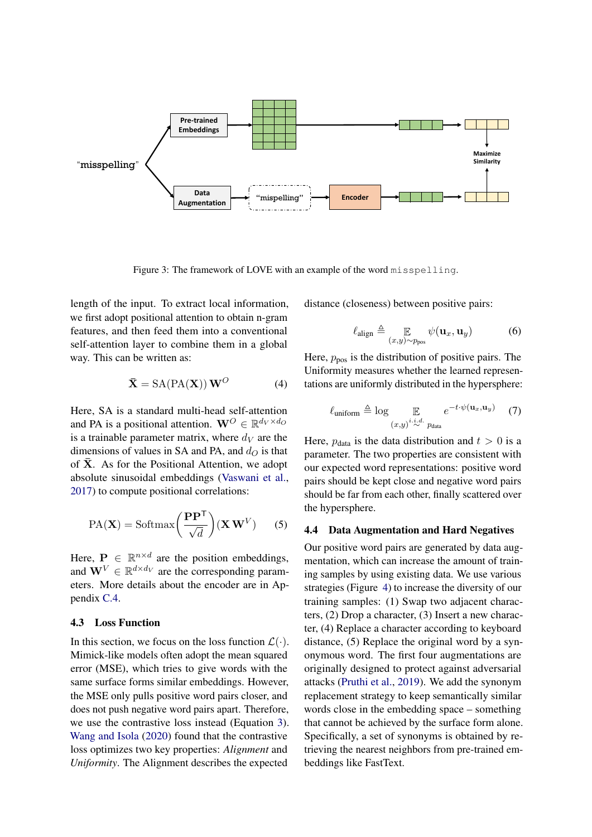<span id="page-4-0"></span>

Figure 3: The framework of LOVE with an example of the word misspelling.

length of the input. To extract local information, we first adopt positional attention to obtain n-gram features, and then feed them into a conventional self-attention layer to combine them in a global way. This can be written as:

$$
\bar{\mathbf{X}} = \text{SA}(\text{PA}(\mathbf{X})) \mathbf{W}^O \tag{4}
$$

Here, SA is a standard multi-head self-attention and PA is a positional attention.  $\mathbf{W}^O \in \mathbb{R}^{d_V \times d_O}$ is a trainable parameter matrix, where  $d_V$  are the dimensions of values in SA and PA, and  $d<sub>O</sub>$  is that of  $\bar{X}$ . As for the Positional Attention, we adopt absolute sinusoidal embeddings [\(Vaswani et al.,](#page-11-15) [2017\)](#page-11-15) to compute positional correlations:

$$
PA(X) = Softmax\left(\frac{PP^{T}}{\sqrt{d}}\right)(X W^{V})
$$
 (5)

Here,  $P \in \mathbb{R}^{n \times d}$  are the position embeddings, and  $\mathbf{W}^V \in \mathbb{R}^{d \times d_V}$  are the corresponding parameters. More details about the encoder are in Appendix [C.4.](#page-15-0)

## 4.3 Loss Function

In this section, we focus on the loss function  $\mathcal{L}(\cdot)$ . Mimick-like models often adopt the mean squared error (MSE), which tries to give words with the same surface forms similar embeddings. However, the MSE only pulls positive word pairs closer, and does not push negative word pairs apart. Therefore, we use the contrastive loss instead (Equation [3\)](#page-2-2). [Wang and Isola](#page-11-16) [\(2020\)](#page-11-16) found that the contrastive loss optimizes two key properties: *Alignment* and *Uniformity*. The Alignment describes the expected

distance (closeness) between positive pairs:

$$
\ell_{\text{align}} \triangleq \mathop{\mathbb{E}}_{(x,y)\sim p_{\text{pos}}} \psi(\mathbf{u}_x, \mathbf{u}_y) \tag{6}
$$

Here,  $p_{\text{pos}}$  is the distribution of positive pairs. The Uniformity measures whether the learned representations are uniformly distributed in the hypersphere:

$$
\ell_{\text{uniform}} \triangleq \log \mathop{\mathbb{E}}_{(x,y)^{i.i.d.} p_{\text{data}}} e^{-t \cdot \psi(\mathbf{u}_x, \mathbf{u}_y)} \quad (7)
$$

Here,  $p_{data}$  is the data distribution and  $t > 0$  is a parameter. The two properties are consistent with our expected word representations: positive word pairs should be kept close and negative word pairs should be far from each other, finally scattered over the hypersphere.

## 4.4 Data Augmentation and Hard Negatives

Our positive word pairs are generated by data augmentation, which can increase the amount of training samples by using existing data. We use various strategies (Figure [4\)](#page-5-1) to increase the diversity of our training samples: (1) Swap two adjacent characters, (2) Drop a character, (3) Insert a new character, (4) Replace a character according to keyboard distance, (5) Replace the original word by a synonymous word. The first four augmentations are originally designed to protect against adversarial attacks [\(Pruthi et al.,](#page-11-11) [2019\)](#page-11-11). We add the synonym replacement strategy to keep semantically similar words close in the embedding space – something that cannot be achieved by the surface form alone. Specifically, a set of synonyms is obtained by retrieving the nearest neighbors from pre-trained embeddings like FastText.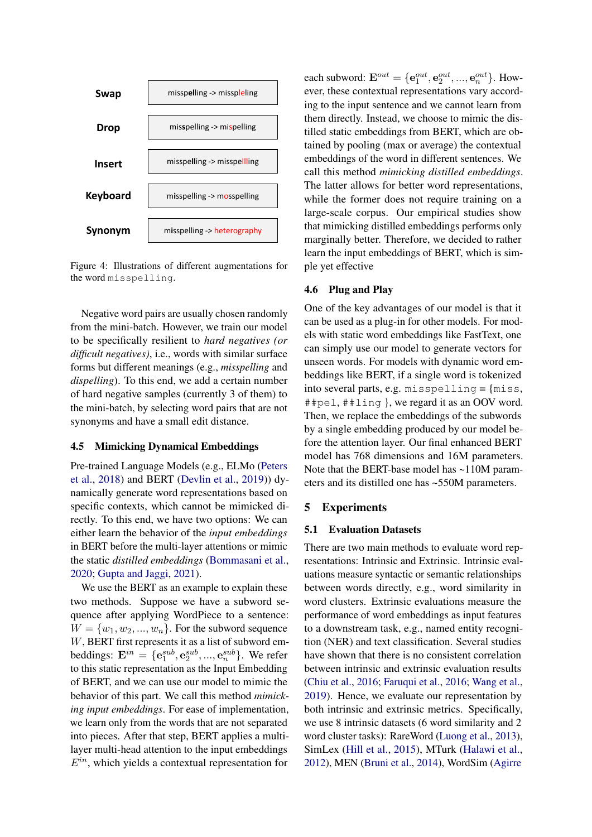<span id="page-5-1"></span>

Figure 4: Illustrations of different augmentations for the word misspelling.

Negative word pairs are usually chosen randomly from the mini-batch. However, we train our model to be specifically resilient to *hard negatives (or difficult negatives)*, i.e., words with similar surface forms but different meanings (e.g., *misspelling* and *dispelling*). To this end, we add a certain number of hard negative samples (currently 3 of them) to the mini-batch, by selecting word pairs that are not synonyms and have a small edit distance.

## <span id="page-5-2"></span>4.5 Mimicking Dynamical Embeddings

Pre-trained Language Models (e.g., ELMo [\(Peters](#page-10-5) [et al.,](#page-10-5) [2018\)](#page-10-5) and BERT [\(Devlin et al.,](#page-9-3) [2019\)](#page-9-3)) dynamically generate word representations based on specific contexts, which cannot be mimicked directly. To this end, we have two options: We can either learn the behavior of the *input embeddings* in BERT before the multi-layer attentions or mimic the static *distilled embeddings* [\(Bommasani et al.,](#page-9-15) [2020;](#page-9-15) [Gupta and Jaggi,](#page-9-16) [2021\)](#page-9-16).

We use the BERT as an example to explain these two methods. Suppose we have a subword sequence after applying WordPiece to a sentence:  $W = \{w_1, w_2, ..., w_n\}$ . For the subword sequence W, BERT first represents it as a list of subword embeddings:  $\mathbf{E}^{in} = \{ \mathbf{e}^{sub}_1, \mathbf{e}^{sub}_2, ..., \mathbf{e}^{sub}_n \}$ . We refer to this static representation as the Input Embedding of BERT, and we can use our model to mimic the behavior of this part. We call this method *mimicking input embeddings*. For ease of implementation, we learn only from the words that are not separated into pieces. After that step, BERT applies a multilayer multi-head attention to the input embeddings  $E^{in}$ , which yields a contextual representation for

each subword:  $\mathbf{E}^{out} = \{ \mathbf{e}^{out}_1, \mathbf{e}^{out}_2, ..., \mathbf{e}^{out}_n \}$ . However, these contextual representations vary according to the input sentence and we cannot learn from them directly. Instead, we choose to mimic the distilled static embeddings from BERT, which are obtained by pooling (max or average) the contextual embeddings of the word in different sentences. We call this method *mimicking distilled embeddings*. The latter allows for better word representations, while the former does not require training on a large-scale corpus. Our empirical studies show that mimicking distilled embeddings performs only marginally better. Therefore, we decided to rather learn the input embeddings of BERT, which is simple yet effective

## 4.6 Plug and Play

One of the key advantages of our model is that it can be used as a plug-in for other models. For models with static word embeddings like FastText, one can simply use our model to generate vectors for unseen words. For models with dynamic word embeddings like BERT, if a single word is tokenized into several parts, e.g. misspelling = {miss, ##pel, ##ling }, we regard it as an OOV word. Then, we replace the embeddings of the subwords by a single embedding produced by our model before the attention layer. Our final enhanced BERT model has 768 dimensions and 16M parameters. Note that the BERT-base model has ~110M parameters and its distilled one has ~550M parameters.

#### <span id="page-5-0"></span>5 Experiments

## 5.1 Evaluation Datasets

There are two main methods to evaluate word representations: Intrinsic and Extrinsic. Intrinsic evaluations measure syntactic or semantic relationships between words directly, e.g., word similarity in word clusters. Extrinsic evaluations measure the performance of word embeddings as input features to a downstream task, e.g., named entity recognition (NER) and text classification. Several studies have shown that there is no consistent correlation between intrinsic and extrinsic evaluation results [\(Chiu et al.,](#page-9-17) [2016;](#page-9-17) [Faruqui et al.,](#page-9-18) [2016;](#page-9-18) [Wang et al.,](#page-11-17) [2019\)](#page-11-17). Hence, we evaluate our representation by both intrinsic and extrinsic metrics. Specifically, we use 8 intrinsic datasets (6 word similarity and 2 word cluster tasks): RareWord [\(Luong et al.,](#page-10-16) [2013\)](#page-10-16), SimLex [\(Hill et al.,](#page-10-17) [2015\)](#page-10-17), MTurk [\(Halawi et al.,](#page-9-19) [2012\)](#page-9-19), MEN [\(Bruni et al.,](#page-9-20) [2014\)](#page-9-20), WordSim [\(Agirre](#page-8-1)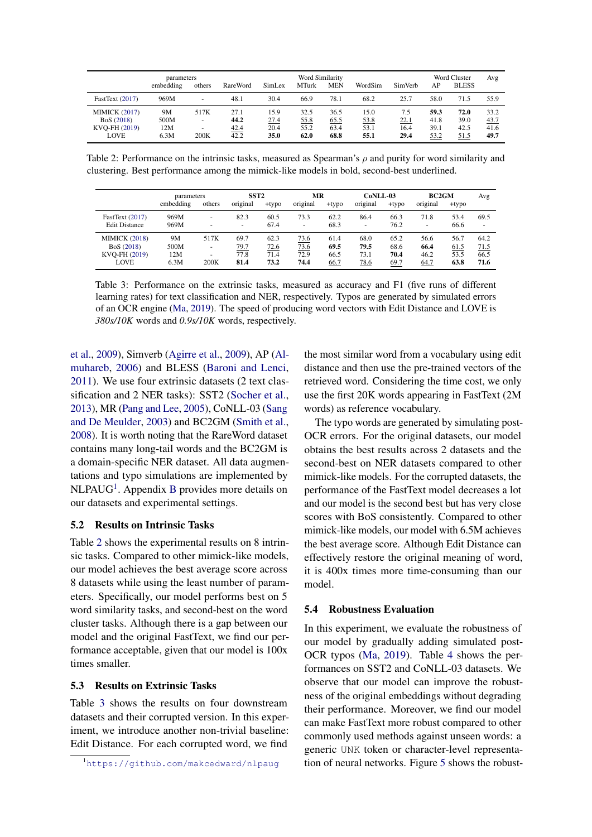<span id="page-6-1"></span>

|                      | parameters |                          |                 |        | <b>Word Similarity</b> |            |         |                |      | Word Cluster | Avg  |
|----------------------|------------|--------------------------|-----------------|--------|------------------------|------------|---------|----------------|------|--------------|------|
|                      | embedding  | others                   | <b>RareWord</b> | SimLex | <b>MTurk</b>           | <b>MEN</b> | WordSim | <b>SimVerb</b> | AP   | <b>BLESS</b> |      |
| FastText (2017)      | 969M       | $\overline{\phantom{a}}$ | 48.1            | 30.4   | 66.9                   | 78.1       | 68.2    | 25.7           | 58.0 | 71.5         | 55.9 |
| <b>MIMICK (2017)</b> | 9M         | 517K                     | 27.1            | 15.9   | 32.5                   | 36.5       | 15.0    | 7.5            | 59.3 | 72.0         | 33.2 |
| BoS (2018)           | 500M       | $\overline{\phantom{a}}$ | 44.2            | 27.4   | 55.8                   | 65.5       | 53.8    | <u>22.1</u>    | 41.8 | 39.0         | 43.7 |
| KVO-FH (2019)        | 12M        | $\overline{\phantom{a}}$ | 42.4            | 20.4   | 55.2                   | 63.4       | 53.1    | 16.4           | 39.1 | 42.5         | 41.6 |
| LOVE                 | 6.3M       | 200K                     | 42.2            | 35.0   | 62.0                   | 68.8       | 55.1    | 29.4           | 53.2 | 51.5         | 49.7 |

Table 2: Performance on the intrinsic tasks, measured as Spearman's  $\rho$  and purity for word similarity and clustering. Best performance among the mimick-like models in bold, second-best underlined.

<span id="page-6-2"></span>

|                      | parameters |        | SST <sub>2</sub> |          | МR       |          | CoNLL-03                 |          | <b>BC2GM</b> |          | Avg                      |
|----------------------|------------|--------|------------------|----------|----------|----------|--------------------------|----------|--------------|----------|--------------------------|
|                      | embedding  | others | original         | $+$ typo | original | $+$ typo | original                 | $+$ typo | original     | $+$ typo |                          |
| FastText (2017)      | 969M       |        | 82.3             | 60.5     | 73.3     | 62.2     | 86.4                     | 66.3     | 71.8         | 53.4     | 69.5                     |
| <b>Edit Distance</b> | 969M       |        | ۰                | 67.4     | ۰        | 68.3     | $\overline{\phantom{a}}$ | 76.2     | -            | 66.6     | $\overline{\phantom{a}}$ |
| <b>MIMICK (2018)</b> | 9M         | 517K   | 69.7             | 62.3     | 73.6     | 61.4     | 68.0                     | 65.2     | 56.6         | 56.7     | 64.2                     |
| BoS (2018)           | 500M       |        | 79.7             | 72.6     | 73.6     | 69.5     | 79.5                     | 68.6     | 66.4         | 61.5     | 71.5                     |
| KVO-FH (2019)        | 12M        |        | 77.8             | 71.4     | 72.9     | 66.5     | 73.1                     | 70.4     | 46.2         | 53.5     | 66.5                     |
| LOVE                 | 6.3M       | 200K   | 81.4             | 73.2     | 74.4     | 66.7     | <u>78.6</u>              | 69.7     | 64.7         | 63.8     | 71.6                     |

Table 3: Performance on the extrinsic tasks, measured as accuracy and F1 (five runs of different learning rates) for text classification and NER, respectively. Typos are generated by simulated errors of an OCR engine [\(Ma,](#page-10-18) [2019\)](#page-10-18). The speed of producing word vectors with Edit Distance and LOVE is *380s/10K* words and *0.9s/10K* words, respectively.

[et al.,](#page-8-1) [2009\)](#page-8-1), Simverb [\(Agirre et al.,](#page-8-1) [2009\)](#page-8-1), AP [\(Al](#page-9-21)[muhareb,](#page-9-21) [2006\)](#page-9-21) and BLESS [\(Baroni and Lenci,](#page-9-22) [2011\)](#page-9-22). We use four extrinsic datasets (2 text classification and 2 NER tasks): SST2 [\(Socher et al.,](#page-11-12) [2013\)](#page-11-12), MR [\(Pang and Lee,](#page-10-19) [2005\)](#page-10-19), CoNLL-03 [\(Sang](#page-11-18) [and De Meulder,](#page-11-18) [2003\)](#page-11-18) and BC2GM [\(Smith et al.,](#page-11-19) [2008\)](#page-11-19). It is worth noting that the RareWord dataset contains many long-tail words and the BC2GM is a domain-specific NER dataset. All data augmentations and typo simulations are implemented by NLPAUG<sup>[1](#page-6-0)</sup>. Appendix [B](#page-13-2) provides more details on our datasets and experimental settings.

## 5.2 Results on Intrinsic Tasks

Table [2](#page-6-1) shows the experimental results on 8 intrinsic tasks. Compared to other mimick-like models, our model achieves the best average score across 8 datasets while using the least number of parameters. Specifically, our model performs best on 5 word similarity tasks, and second-best on the word cluster tasks. Although there is a gap between our model and the original FastText, we find our performance acceptable, given that our model is 100x times smaller.

#### 5.3 Results on Extrinsic Tasks

Table [3](#page-6-2) shows the results on four downstream datasets and their corrupted version. In this experiment, we introduce another non-trivial baseline: Edit Distance. For each corrupted word, we find

the most similar word from a vocabulary using edit distance and then use the pre-trained vectors of the retrieved word. Considering the time cost, we only use the first 20K words appearing in FastText (2M words) as reference vocabulary.

The typo words are generated by simulating post-OCR errors. For the original datasets, our model obtains the best results across 2 datasets and the second-best on NER datasets compared to other mimick-like models. For the corrupted datasets, the performance of the FastText model decreases a lot and our model is the second best but has very close scores with BoS consistently. Compared to other mimick-like models, our model with 6.5M achieves the best average score. Although Edit Distance can effectively restore the original meaning of word, it is 400x times more time-consuming than our model.

#### 5.4 Robustness Evaluation

In this experiment, we evaluate the robustness of our model by gradually adding simulated post-OCR typos [\(Ma,](#page-10-18) [2019\)](#page-10-18). Table [4](#page-7-0) shows the performances on SST2 and CoNLL-03 datasets. We observe that our model can improve the robustness of the original embeddings without degrading their performance. Moreover, we find our model can make FastText more robust compared to other commonly used methods against unseen words: a generic UNK token or character-level representation of neural networks. Figure [5](#page-7-1) shows the robust-

<span id="page-6-0"></span><sup>1</sup>https://qithub.com/makcedward/nlpaug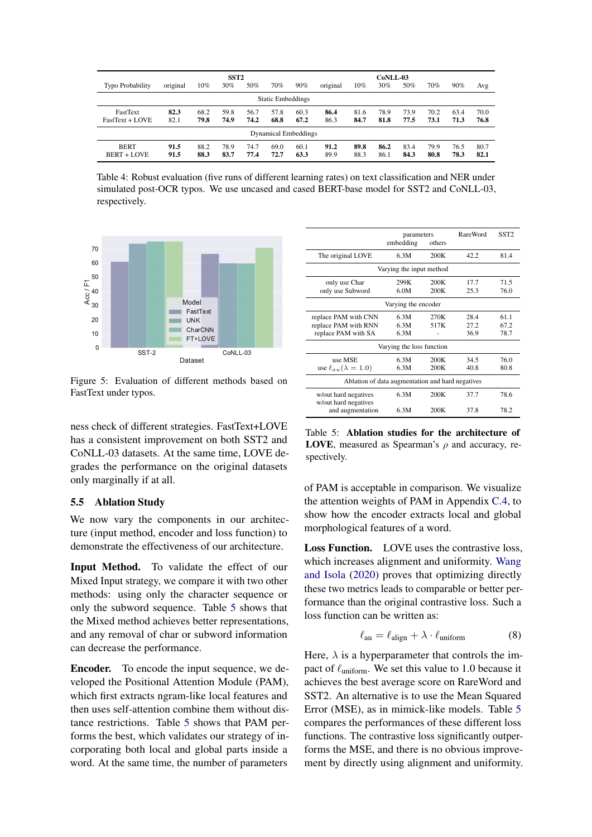<span id="page-7-0"></span>

| SST <sub>2</sub>            |          |        |      |      |      | $CoNL-03$ |          |      |      |      |      |      |      |
|-----------------------------|----------|--------|------|------|------|-----------|----------|------|------|------|------|------|------|
| <b>Typo Probability</b>     | original | $10\%$ | 30%  | 50%  | 70%  | 90%       | original | 10%  | 30%  | 50%  | 70%  | 90%  | Avg  |
| <b>Static Embeddings</b>    |          |        |      |      |      |           |          |      |      |      |      |      |      |
| FastText                    | 82.3     | 68.2   | 59.8 | 56.7 | 57.8 | 60.3      | 86.4     | 81.6 | 78.9 | 73.9 | 70.2 | 63.4 | 70.0 |
| FastText + LOVE             | 82.1     | 79.8   | 74.9 | 74.2 | 68.8 | 67.2      | 86.3     | 84.7 | 81.8 | 77.5 | 73.1 | 71.3 | 76.8 |
| <b>Dynamical Embeddings</b> |          |        |      |      |      |           |          |      |      |      |      |      |      |
| <b>BERT</b>                 | 91.5     | 88.2   | 78.9 | 74.7 | 69.0 | 60.1      | 91.2     | 89.8 | 86.2 | 83.4 | 79.9 | 76.5 | 80.7 |
| <b>BERT + LOVE</b>          | 91.5     | 88.3   | 83.7 | 77.4 | 72.7 | 63.3      | 89.9     | 88.3 | 86.1 | 84.3 | 80.8 | 78.3 | 82.1 |

Table 4: Robust evaluation (five runs of different learning rates) on text classification and NER under simulated post-OCR typos. We use uncased and cased BERT-base model for SST2 and CoNLL-03, respectively.

<span id="page-7-1"></span>

Figure 5: Evaluation of different methods based on FastText under typos.

ness check of different strategies. FastText+LOVE has a consistent improvement on both SST2 and CoNLL-03 datasets. At the same time, LOVE degrades the performance on the original datasets only marginally if at all.

#### 5.5 Ablation Study

We now vary the components in our architecture (input method, encoder and loss function) to demonstrate the effectiveness of our architecture.

Input Method. To validate the effect of our Mixed Input strategy, we compare it with two other methods: using only the character sequence or only the subword sequence. Table [5](#page-7-2) shows that the Mixed method achieves better representations, and any removal of char or subword information can decrease the performance.

Encoder. To encode the input sequence, we developed the Positional Attention Module (PAM), which first extracts ngram-like local features and then uses self-attention combine them without distance restrictions. Table [5](#page-7-2) shows that PAM performs the best, which validates our strategy of incorporating both local and global parts inside a word. At the same time, the number of parameters

<span id="page-7-2"></span>

|                                                                     | parameters<br>embedding   | others       | RareWord            | SST <sub>2</sub>     |  |  |  |  |  |
|---------------------------------------------------------------------|---------------------------|--------------|---------------------|----------------------|--|--|--|--|--|
| The original LOVE                                                   | 6.3M                      | 200K         | 42.2                | 81.4                 |  |  |  |  |  |
|                                                                     | Varying the input method  |              |                     |                      |  |  |  |  |  |
| only use Char<br>only use Subword                                   | 299K<br>6.0M              | 200K<br>200K | 177<br>25.3         | 71.5<br>76.0         |  |  |  |  |  |
|                                                                     | Varying the encoder       |              |                     |                      |  |  |  |  |  |
| replace PAM with CNN<br>replace PAM with RNN<br>replace PAM with SA | 6.3M<br>6.3M<br>6.3M      | 270K<br>517K | 28.4<br>272<br>36.9 | 61.1<br>67.2<br>78.7 |  |  |  |  |  |
|                                                                     | Varying the loss function |              |                     |                      |  |  |  |  |  |
| use MSE<br>use $\ell_{au}(\lambda = 1.0)$                           | 6.3M<br>6.3M              | 200K<br>200K | 34.5<br>40.8        | 76.0<br>80.8         |  |  |  |  |  |
| Ablation of data augmentation and hard negatives                    |                           |              |                     |                      |  |  |  |  |  |
| w/out hard negatives<br>w/out hard negatives                        | 6.3M                      | 200K         | 37.7                | 78.6                 |  |  |  |  |  |
| and augmentation                                                    | 6.3M                      | 200K         | 37.8                | 78.2                 |  |  |  |  |  |

Table 5: Ablation studies for the architecture of LOVE, measured as Spearman's  $\rho$  and accuracy, respectively.

of PAM is acceptable in comparison. We visualize the attention weights of PAM in Appendix [C.4,](#page-15-0) to show how the encoder extracts local and global morphological features of a word.

Loss Function. LOVE uses the contrastive loss, which increases alignment and uniformity. [Wang](#page-11-16) [and Isola](#page-11-16) [\(2020\)](#page-11-16) proves that optimizing directly these two metrics leads to comparable or better performance than the original contrastive loss. Such a loss function can be written as:

$$
\ell_{\rm au} = \ell_{\rm align} + \lambda \cdot \ell_{\rm uniform} \tag{8}
$$

Here,  $\lambda$  is a hyperparameter that controls the impact of  $\ell_{\text{uniform}}$ . We set this value to 1.0 because it achieves the best average score on RareWord and SST2. An alternative is to use the Mean Squared Error (MSE), as in mimick-like models. Table [5](#page-7-2) compares the performances of these different loss functions. The contrastive loss significantly outperforms the MSE, and there is no obvious improvement by directly using alignment and uniformity.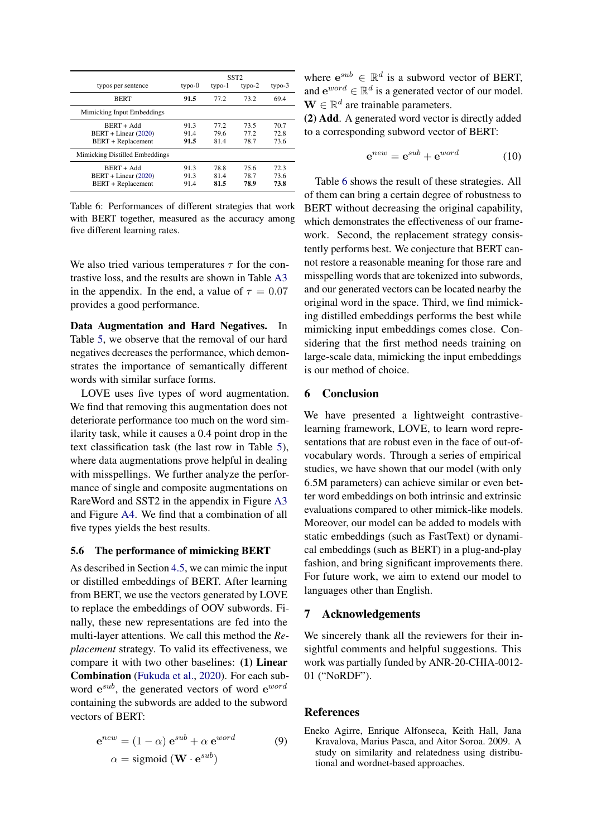<span id="page-8-2"></span>

|                                                                     | SST <sub>2</sub>     |                      |                      |                      |  |  |
|---------------------------------------------------------------------|----------------------|----------------------|----------------------|----------------------|--|--|
| typos per sentence                                                  | $type-0$             | $type-1$             | typo- $2$            | $type-3$             |  |  |
| <b>BERT</b>                                                         | 91.5                 | 77.2                 | 73.2                 | 69.4                 |  |  |
| Mimicking Input Embeddings                                          |                      |                      |                      |                      |  |  |
| $BERT + Add$<br>$BERT + Linear (2020)$<br><b>BERT</b> + Replacement | 91.3<br>91.4<br>91.5 | 77.2<br>79.6<br>81.4 | 73.5<br>77.2<br>78.7 | 70.7<br>72.8<br>73.6 |  |  |
| Mimicking Distilled Embeddings                                      |                      |                      |                      |                      |  |  |
| $BERT + Add$<br>BERT + Linear (2020)<br><b>BERT</b> + Replacement   | 91.3<br>91.3<br>91.4 | 78.8<br>81.4<br>81.5 | 75.6<br>78.7<br>78.9 | 72.3<br>73.6<br>73.8 |  |  |

Table 6: Performances of different strategies that work with BERT together, measured as the accuracy among five different learning rates.

We also tried various temperatures  $\tau$  for the contrastive loss, and the results are shown in Table [A3](#page-16-0) in the appendix. In the end, a value of  $\tau = 0.07$ provides a good performance.

Data Augmentation and Hard Negatives. In Table [5,](#page-7-2) we observe that the removal of our hard negatives decreases the performance, which demonstrates the importance of semantically different words with similar surface forms.

LOVE uses five types of word augmentation. We find that removing this augmentation does not deteriorate performance too much on the word similarity task, while it causes a 0.4 point drop in the text classification task (the last row in Table [5\)](#page-7-2), where data augmentations prove helpful in dealing with misspellings. We further analyze the performance of single and composite augmentations on RareWord and SST2 in the appendix in Figure [A3](#page-14-0) and Figure [A4.](#page-14-1) We find that a combination of all five types yields the best results.

## 5.6 The performance of mimicking BERT

As described in Section [4.5,](#page-5-2) we can mimic the input or distilled embeddings of BERT. After learning from BERT, we use the vectors generated by LOVE to replace the embeddings of OOV subwords. Finally, these new representations are fed into the multi-layer attentions. We call this method the *Replacement* strategy. To valid its effectiveness, we compare it with two other baselines: (1) Linear Combination [\(Fukuda et al.,](#page-9-6) [2020\)](#page-9-6). For each subword  $e^{sub}$ , the generated vectors of word  $e^{word}$ containing the subwords are added to the subword vectors of BERT:

$$
\mathbf{e}^{new} = (1 - \alpha) \mathbf{e}^{sub} + \alpha \mathbf{e}^{word}
$$
  
\n
$$
\alpha = \text{sigmoid} \left( \mathbf{W} \cdot \mathbf{e}^{sub} \right)
$$
 (9)

where  $e^{sub} \in \mathbb{R}^d$  is a subword vector of BERT, and  $e^{word} \in \mathbb{R}^d$  is a generated vector of our model.  $\mathbf{W} \in \mathbb{R}^d$  are trainable parameters.

(2) Add. A generated word vector is directly added to a corresponding subword vector of BERT:

$$
\mathbf{e}^{new} = \mathbf{e}^{sub} + \mathbf{e}^{word} \tag{10}
$$

Table [6](#page-8-2) shows the result of these strategies. All of them can bring a certain degree of robustness to BERT without decreasing the original capability, which demonstrates the effectiveness of our framework. Second, the replacement strategy consistently performs best. We conjecture that BERT cannot restore a reasonable meaning for those rare and misspelling words that are tokenized into subwords, and our generated vectors can be located nearby the original word in the space. Third, we find mimicking distilled embeddings performs the best while mimicking input embeddings comes close. Considering that the first method needs training on large-scale data, mimicking the input embeddings is our method of choice.

## <span id="page-8-0"></span>6 Conclusion

We have presented a lightweight contrastivelearning framework, LOVE, to learn word representations that are robust even in the face of out-ofvocabulary words. Through a series of empirical studies, we have shown that our model (with only 6.5M parameters) can achieve similar or even better word embeddings on both intrinsic and extrinsic evaluations compared to other mimick-like models. Moreover, our model can be added to models with static embeddings (such as FastText) or dynamical embeddings (such as BERT) in a plug-and-play fashion, and bring significant improvements there. For future work, we aim to extend our model to languages other than English.

# 7 Acknowledgements

We sincerely thank all the reviewers for their insightful comments and helpful suggestions. This work was partially funded by ANR-20-CHIA-0012- 01 ("NoRDF").

#### References

<span id="page-8-1"></span>Eneko Agirre, Enrique Alfonseca, Keith Hall, Jana Kravalova, Marius Pasca, and Aitor Soroa. 2009. A study on similarity and relatedness using distributional and wordnet-based approaches.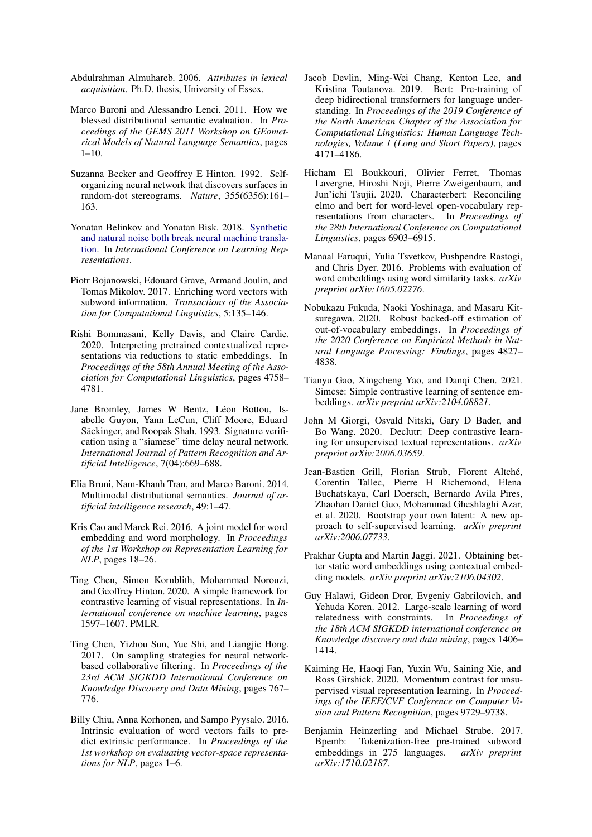- <span id="page-9-21"></span>Abdulrahman Almuhareb. 2006. *Attributes in lexical acquisition*. Ph.D. thesis, University of Essex.
- <span id="page-9-22"></span>Marco Baroni and Alessandro Lenci. 2011. How we blessed distributional semantic evaluation. In *Proceedings of the GEMS 2011 Workshop on GEometrical Models of Natural Language Semantics*, pages 1–10.
- <span id="page-9-7"></span>Suzanna Becker and Geoffrey E Hinton. 1992. Selforganizing neural network that discovers surfaces in random-dot stereograms. *Nature*, 355(6356):161– 163.
- <span id="page-9-0"></span>Yonatan Belinkov and Yonatan Bisk. 2018. [Synthetic](https://openreview.net/forum?id=BJ8vJebC-) [and natural noise both break neural machine transla](https://openreview.net/forum?id=BJ8vJebC-)[tion.](https://openreview.net/forum?id=BJ8vJebC-) In *International Conference on Learning Representations*.
- <span id="page-9-1"></span>Piotr Bojanowski, Edouard Grave, Armand Joulin, and Tomas Mikolov. 2017. Enriching word vectors with subword information. *Transactions of the Association for Computational Linguistics*, 5:135–146.
- <span id="page-9-15"></span>Rishi Bommasani, Kelly Davis, and Claire Cardie. 2020. Interpreting pretrained contextualized representations via reductions to static embeddings. In *Proceedings of the 58th Annual Meeting of the Association for Computational Linguistics*, pages 4758– 4781.
- <span id="page-9-8"></span>Jane Bromley, James W Bentz, Léon Bottou, Isabelle Guyon, Yann LeCun, Cliff Moore, Eduard Säckinger, and Roopak Shah. 1993. Signature verification using a "siamese" time delay neural network. *International Journal of Pattern Recognition and Artificial Intelligence*, 7(04):669–688.
- <span id="page-9-20"></span>Elia Bruni, Nam-Khanh Tran, and Marco Baroni. 2014. Multimodal distributional semantics. *Journal of artificial intelligence research*, 49:1–47.
- <span id="page-9-5"></span>Kris Cao and Marek Rei. 2016. A joint model for word embedding and word morphology. In *Proceedings of the 1st Workshop on Representation Learning for NLP*, pages 18–26.
- <span id="page-9-10"></span>Ting Chen, Simon Kornblith, Mohammad Norouzi, and Geoffrey Hinton. 2020. A simple framework for contrastive learning of visual representations. In *International conference on machine learning*, pages 1597–1607. PMLR.
- <span id="page-9-12"></span>Ting Chen, Yizhou Sun, Yue Shi, and Liangjie Hong. 2017. On sampling strategies for neural networkbased collaborative filtering. In *Proceedings of the 23rd ACM SIGKDD International Conference on Knowledge Discovery and Data Mining*, pages 767– 776.
- <span id="page-9-17"></span>Billy Chiu, Anna Korhonen, and Sampo Pyysalo. 2016. Intrinsic evaluation of word vectors fails to predict extrinsic performance. In *Proceedings of the 1st workshop on evaluating vector-space representations for NLP*, pages 1–6.
- <span id="page-9-3"></span>Jacob Devlin, Ming-Wei Chang, Kenton Lee, and Kristina Toutanova. 2019. Bert: Pre-training of deep bidirectional transformers for language understanding. In *Proceedings of the 2019 Conference of the North American Chapter of the Association for Computational Linguistics: Human Language Technologies, Volume 1 (Long and Short Papers)*, pages 4171–4186.
- <span id="page-9-4"></span>Hicham El Boukkouri, Olivier Ferret, Thomas Lavergne, Hiroshi Noji, Pierre Zweigenbaum, and Jun'ichi Tsujii. 2020. Characterbert: Reconciling elmo and bert for word-level open-vocabulary representations from characters. In *Proceedings of the 28th International Conference on Computational Linguistics*, pages 6903–6915.
- <span id="page-9-18"></span>Manaal Faruqui, Yulia Tsvetkov, Pushpendre Rastogi, and Chris Dyer. 2016. Problems with evaluation of word embeddings using word similarity tasks. *arXiv preprint arXiv:1605.02276*.
- <span id="page-9-6"></span>Nobukazu Fukuda, Naoki Yoshinaga, and Masaru Kitsuregawa. 2020. Robust backed-off estimation of out-of-vocabulary embeddings. In *Proceedings of the 2020 Conference on Empirical Methods in Natural Language Processing: Findings*, pages 4827– 4838.
- <span id="page-9-14"></span>Tianyu Gao, Xingcheng Yao, and Danqi Chen. 2021. Simcse: Simple contrastive learning of sentence embeddings. *arXiv preprint arXiv:2104.08821*.
- <span id="page-9-13"></span>John M Giorgi, Osvald Nitski, Gary D Bader, and Bo Wang. 2020. Declutr: Deep contrastive learning for unsupervised textual representations. *arXiv preprint arXiv:2006.03659*.
- <span id="page-9-11"></span>Jean-Bastien Grill, Florian Strub, Florent Altché, Corentin Tallec, Pierre H Richemond, Elena Buchatskaya, Carl Doersch, Bernardo Avila Pires, Zhaohan Daniel Guo, Mohammad Gheshlaghi Azar, et al. 2020. Bootstrap your own latent: A new approach to self-supervised learning. *arXiv preprint arXiv:2006.07733*.
- <span id="page-9-16"></span>Prakhar Gupta and Martin Jaggi. 2021. Obtaining better static word embeddings using contextual embedding models. *arXiv preprint arXiv:2106.04302*.
- <span id="page-9-19"></span>Guy Halawi, Gideon Dror, Evgeniy Gabrilovich, and Yehuda Koren. 2012. Large-scale learning of word relatedness with constraints. In *Proceedings of the 18th ACM SIGKDD international conference on Knowledge discovery and data mining*, pages 1406– 1414.
- <span id="page-9-9"></span>Kaiming He, Haoqi Fan, Yuxin Wu, Saining Xie, and Ross Girshick. 2020. Momentum contrast for unsupervised visual representation learning. In *Proceedings of the IEEE/CVF Conference on Computer Vision and Pattern Recognition*, pages 9729–9738.
- <span id="page-9-2"></span>Benjamin Heinzerling and Michael Strube. 2017. Bpemb: Tokenization-free pre-trained subword embeddings in 275 languages. *arXiv preprint arXiv:1710.02187*.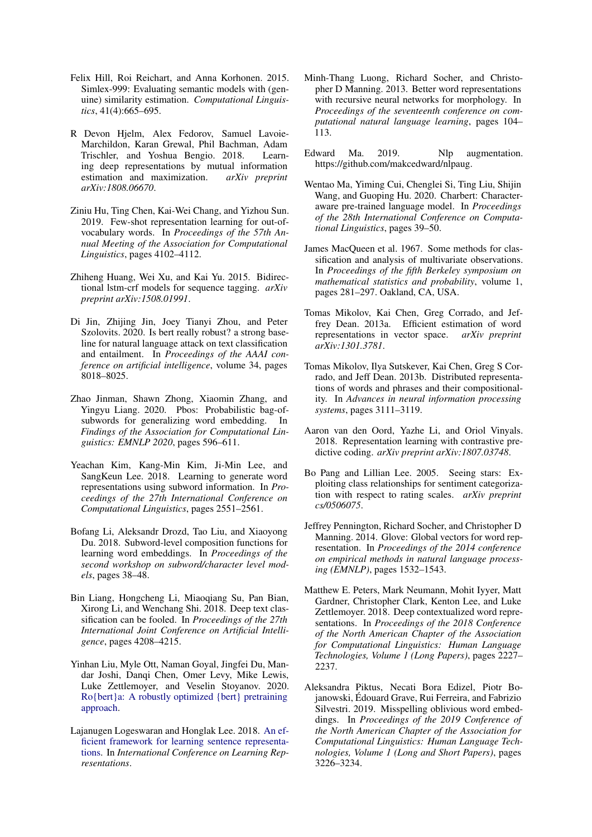- <span id="page-10-17"></span>Felix Hill, Roi Reichart, and Anna Korhonen. 2015. Simlex-999: Evaluating semantic models with (genuine) similarity estimation. *Computational Linguistics*, 41(4):665–695.
- <span id="page-10-14"></span>R Devon Hjelm, Alex Fedorov, Samuel Lavoie-Marchildon, Karan Grewal, Phil Bachman, Adam Trischler, and Yoshua Bengio. 2018. Learning deep representations by mutual information estimation and maximization. *arXiv preprint arXiv:1808.06670*.
- <span id="page-10-10"></span>Ziniu Hu, Ting Chen, Kai-Wei Chang, and Yizhou Sun. 2019. Few-shot representation learning for out-ofvocabulary words. In *Proceedings of the 57th Annual Meeting of the Association for Computational Linguistics*, pages 4102–4112.
- <span id="page-10-20"></span>Zhiheng Huang, Wei Xu, and Kai Yu. 2015. Bidirectional lstm-crf models for sequence tagging. *arXiv preprint arXiv:1508.01991*.
- <span id="page-10-4"></span>Di Jin, Zhijing Jin, Joey Tianyi Zhou, and Peter Szolovits. 2020. Is bert really robust? a strong baseline for natural language attack on text classification and entailment. In *Proceedings of the AAAI conference on artificial intelligence*, volume 34, pages 8018–8025.
- <span id="page-10-11"></span>Zhao Jinman, Shawn Zhong, Xiaomin Zhang, and Yingyu Liang. 2020. Pbos: Probabilistic bag-ofsubwords for generalizing word embedding. In *Findings of the Association for Computational Linguistics: EMNLP 2020*, pages 596–611.
- <span id="page-10-7"></span>Yeachan Kim, Kang-Min Kim, Ji-Min Lee, and SangKeun Lee. 2018. Learning to generate word representations using subword information. In *Proceedings of the 27th International Conference on Computational Linguistics*, pages 2551–2561.
- <span id="page-10-8"></span>Bofang Li, Aleksandr Drozd, Tao Liu, and Xiaoyong Du. 2018. Subword-level composition functions for learning word embeddings. In *Proceedings of the second workshop on subword/character level models*, pages 38–48.
- <span id="page-10-3"></span>Bin Liang, Hongcheng Li, Miaoqiang Su, Pan Bian, Xirong Li, and Wenchang Shi. 2018. Deep text classification can be fooled. In *Proceedings of the 27th International Joint Conference on Artificial Intelligence*, pages 4208–4215.
- <span id="page-10-6"></span>Yinhan Liu, Myle Ott, Naman Goyal, Jingfei Du, Mandar Joshi, Danqi Chen, Omer Levy, Mike Lewis, Luke Zettlemoyer, and Veselin Stoyanov. 2020. [Ro{bert}a: A robustly optimized {bert} pretraining](https://openreview.net/forum?id=SyxS0T4tvS) [approach.](https://openreview.net/forum?id=SyxS0T4tvS)
- <span id="page-10-15"></span>Lajanugen Logeswaran and Honglak Lee. 2018. [An ef](https://openreview.net/forum?id=rJvJXZb0W)[ficient framework for learning sentence representa](https://openreview.net/forum?id=rJvJXZb0W)[tions.](https://openreview.net/forum?id=rJvJXZb0W) In *International Conference on Learning Representations*.
- <span id="page-10-16"></span>Minh-Thang Luong, Richard Socher, and Christopher D Manning. 2013. Better word representations with recursive neural networks for morphology. In *Proceedings of the seventeenth conference on computational natural language learning*, pages 104– 113.
- <span id="page-10-18"></span>Edward Ma. 2019. Nlp augmentation. https://github.com/makcedward/nlpaug.
- <span id="page-10-12"></span>Wentao Ma, Yiming Cui, Chenglei Si, Ting Liu, Shijin Wang, and Guoping Hu. 2020. Charbert: Characteraware pre-trained language model. In *Proceedings of the 28th International Conference on Computational Linguistics*, pages 39–50.
- <span id="page-10-21"></span>James MacQueen et al. 1967. Some methods for classification and analysis of multivariate observations. In *Proceedings of the fifth Berkeley symposium on mathematical statistics and probability*, volume 1, pages 281–297. Oakland, CA, USA.
- <span id="page-10-0"></span>Tomas Mikolov, Kai Chen, Greg Corrado, and Jeffrey Dean. 2013a. Efficient estimation of word representations in vector space. *arXiv preprint arXiv:1301.3781*.
- <span id="page-10-1"></span>Tomas Mikolov, Ilya Sutskever, Kai Chen, Greg S Corrado, and Jeff Dean. 2013b. Distributed representations of words and phrases and their compositionality. In *Advances in neural information processing systems*, pages 3111–3119.
- <span id="page-10-13"></span>Aaron van den Oord, Yazhe Li, and Oriol Vinyals. 2018. Representation learning with contrastive predictive coding. *arXiv preprint arXiv:1807.03748*.
- <span id="page-10-19"></span>Bo Pang and Lillian Lee. 2005. Seeing stars: Exploiting class relationships for sentiment categorization with respect to rating scales. *arXiv preprint cs/0506075*.
- <span id="page-10-2"></span>Jeffrey Pennington, Richard Socher, and Christopher D Manning. 2014. Glove: Global vectors for word representation. In *Proceedings of the 2014 conference on empirical methods in natural language processing (EMNLP)*, pages 1532–1543.
- <span id="page-10-5"></span>Matthew E. Peters, Mark Neumann, Mohit Iyyer, Matt Gardner, Christopher Clark, Kenton Lee, and Luke Zettlemoyer. 2018. Deep contextualized word representations. In *Proceedings of the 2018 Conference of the North American Chapter of the Association for Computational Linguistics: Human Language Technologies, Volume 1 (Long Papers)*, pages 2227– 2237.
- <span id="page-10-9"></span>Aleksandra Piktus, Necati Bora Edizel, Piotr Bojanowski, Édouard Grave, Rui Ferreira, and Fabrizio Silvestri. 2019. Misspelling oblivious word embeddings. In *Proceedings of the 2019 Conference of the North American Chapter of the Association for Computational Linguistics: Human Language Technologies, Volume 1 (Long and Short Papers)*, pages 3226–3234.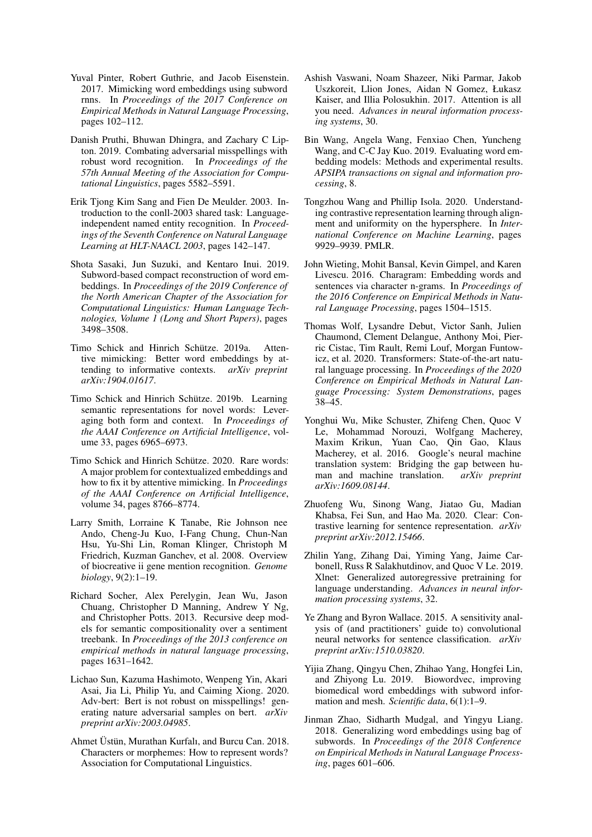- <span id="page-11-3"></span>Yuval Pinter, Robert Guthrie, and Jacob Eisenstein. 2017. Mimicking word embeddings using subword rnns. In *Proceedings of the 2017 Conference on Empirical Methods in Natural Language Processing*, pages 102–112.
- <span id="page-11-11"></span>Danish Pruthi, Bhuwan Dhingra, and Zachary C Lipton. 2019. Combating adversarial misspellings with robust word recognition. In *Proceedings of the 57th Annual Meeting of the Association for Computational Linguistics*, pages 5582–5591.
- <span id="page-11-18"></span>Erik Tjong Kim Sang and Fien De Meulder. 2003. Introduction to the conll-2003 shared task: Languageindependent named entity recognition. In *Proceedings of the Seventh Conference on Natural Language Learning at HLT-NAACL 2003*, pages 142–147.
- <span id="page-11-5"></span>Shota Sasaki, Jun Suzuki, and Kentaro Inui. 2019. Subword-based compact reconstruction of word embeddings. In *Proceedings of the 2019 Conference of the North American Chapter of the Association for Computational Linguistics: Human Language Technologies, Volume 1 (Long and Short Papers)*, pages 3498–3508.
- <span id="page-11-9"></span>Timo Schick and Hinrich Schütze. 2019a. Attentive mimicking: Better word embeddings by attending to informative contexts. *arXiv preprint arXiv:1904.01617*.
- <span id="page-11-10"></span>Timo Schick and Hinrich Schütze. 2019b. Learning semantic representations for novel words: Leveraging both form and context. In *Proceedings of the AAAI Conference on Artificial Intelligence*, volume 33, pages 6965–6973.
- <span id="page-11-7"></span>Timo Schick and Hinrich Schütze. 2020. Rare words: A major problem for contextualized embeddings and how to fix it by attentive mimicking. In *Proceedings of the AAAI Conference on Artificial Intelligence*, volume 34, pages 8766–8774.
- <span id="page-11-19"></span>Larry Smith, Lorraine K Tanabe, Rie Johnson nee Ando, Cheng-Ju Kuo, I-Fang Chung, Chun-Nan Hsu, Yu-Shi Lin, Roman Klinger, Christoph M Friedrich, Kuzman Ganchev, et al. 2008. Overview of biocreative ii gene mention recognition. *Genome biology*, 9(2):1–19.
- <span id="page-11-12"></span>Richard Socher, Alex Perelygin, Jean Wu, Jason Chuang, Christopher D Manning, Andrew Y Ng, and Christopher Potts. 2013. Recursive deep models for semantic compositionality over a sentiment treebank. In *Proceedings of the 2013 conference on empirical methods in natural language processing*, pages 1631–1642.
- <span id="page-11-0"></span>Lichao Sun, Kazuma Hashimoto, Wenpeng Yin, Akari Asai, Jia Li, Philip Yu, and Caiming Xiong. 2020. Adv-bert: Bert is not robust on misspellings! generating nature adversarial samples on bert. *arXiv preprint arXiv:2003.04985*.
- <span id="page-11-8"></span>Ahmet Üstün, Murathan Kurfalı, and Burcu Can. 2018. Characters or morphemes: How to represent words? Association for Computational Linguistics.
- <span id="page-11-15"></span>Ashish Vaswani, Noam Shazeer, Niki Parmar, Jakob Uszkoreit, Llion Jones, Aidan N Gomez, Łukasz Kaiser, and Illia Polosukhin. 2017. Attention is all you need. *Advances in neural information processing systems*, 30.
- <span id="page-11-17"></span>Bin Wang, Angela Wang, Fenxiao Chen, Yuncheng Wang, and C-C Jay Kuo. 2019. Evaluating word embedding models: Methods and experimental results. *APSIPA transactions on signal and information processing*, 8.
- <span id="page-11-16"></span>Tongzhou Wang and Phillip Isola. 2020. Understanding contrastive representation learning through alignment and uniformity on the hypersphere. In *International Conference on Machine Learning*, pages 9929–9939. PMLR.
- <span id="page-11-1"></span>John Wieting, Mohit Bansal, Kevin Gimpel, and Karen Livescu. 2016. Charagram: Embedding words and sentences via character n-grams. In *Proceedings of the 2016 Conference on Empirical Methods in Natural Language Processing*, pages 1504–1515.
- <span id="page-11-21"></span>Thomas Wolf, Lysandre Debut, Victor Sanh, Julien Chaumond, Clement Delangue, Anthony Moi, Pierric Cistac, Tim Rault, Remi Louf, Morgan Funtowicz, et al. 2020. Transformers: State-of-the-art natural language processing. In *Proceedings of the 2020 Conference on Empirical Methods in Natural Language Processing: System Demonstrations*, pages 38–45.
- <span id="page-11-14"></span>Yonghui Wu, Mike Schuster, Zhifeng Chen, Quoc V Le, Mohammad Norouzi, Wolfgang Macherey, Maxim Krikun, Yuan Cao, Qin Gao, Klaus Macherey, et al. 2016. Google's neural machine translation system: Bridging the gap between human and machine translation. *arXiv preprint arXiv:1609.08144*.
- <span id="page-11-13"></span>Zhuofeng Wu, Sinong Wang, Jiatao Gu, Madian Khabsa, Fei Sun, and Hao Ma. 2020. Clear: Contrastive learning for sentence representation. *arXiv preprint arXiv:2012.15466*.
- <span id="page-11-6"></span>Zhilin Yang, Zihang Dai, Yiming Yang, Jaime Carbonell, Russ R Salakhutdinov, and Quoc V Le. 2019. Xlnet: Generalized autoregressive pretraining for language understanding. *Advances in neural information processing systems*, 32.
- <span id="page-11-20"></span>Ye Zhang and Byron Wallace. 2015. A sensitivity analysis of (and practitioners' guide to) convolutional neural networks for sentence classification. *arXiv preprint arXiv:1510.03820*.
- <span id="page-11-2"></span>Yijia Zhang, Qingyu Chen, Zhihao Yang, Hongfei Lin, and Zhiyong Lu. 2019. Biowordvec, improving biomedical word embeddings with subword information and mesh. *Scientific data*, 6(1):1–9.
- <span id="page-11-4"></span>Jinman Zhao, Sidharth Mudgal, and Yingyu Liang. 2018. Generalizing word embeddings using bag of subwords. In *Proceedings of the 2018 Conference on Empirical Methods in Natural Language Processing*, pages 601–606.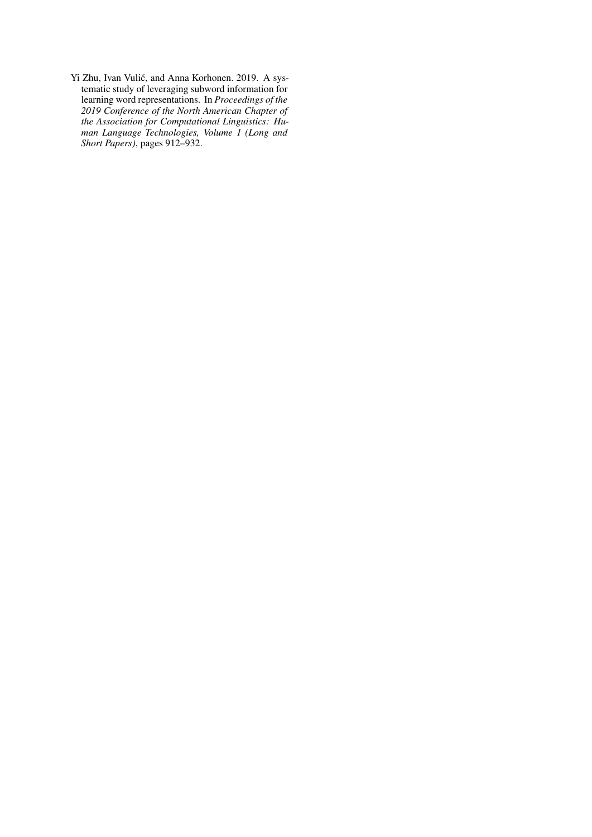<span id="page-12-0"></span>Yi Zhu, Ivan Vulić, and Anna Korhonen. 2019. A systematic study of leveraging subword information for learning word representations. In *Proceedings of the 2019 Conference of the North American Chapter of the Association for Computational Linguistics: Human Language Technologies, Volume 1 (Long and Short Papers)*, pages 912–932.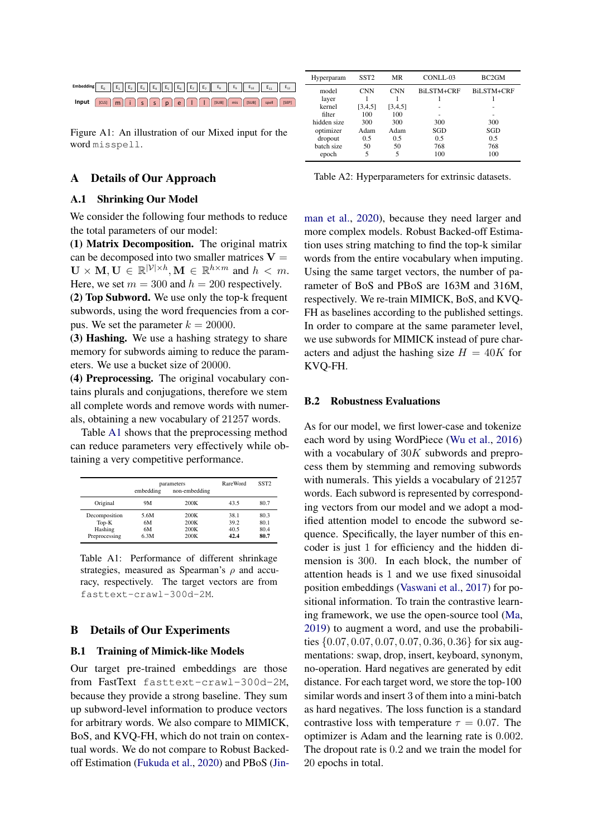<span id="page-13-0"></span>

Figure A1: An illustration of our Mixed input for the word misspell.

## A Details of Our Approach

#### <span id="page-13-1"></span>A.1 Shrinking Our Model

We consider the following four methods to reduce the total parameters of our model:

(1) Matrix Decomposition. The original matrix can be decomposed into two smaller matrices  $V =$  $\mathbf{U} \times \mathbf{M}, \mathbf{U} \in \mathbb{R}^{|\mathcal{V}| \times h}, \mathbf{M} \in \mathbb{R}^{h \times m}$  and  $h < m$ . Here, we set  $m = 300$  and  $h = 200$  respectively.

(2) Top Subword. We use only the top-k frequent subwords, using the word frequencies from a corpus. We set the parameter  $k = 20000$ .

(3) Hashing. We use a hashing strategy to share memory for subwords aiming to reduce the parameters. We use a bucket size of 20000.

(4) Preprocessing. The original vocabulary contains plurals and conjugations, therefore we stem all complete words and remove words with numerals, obtaining a new vocabulary of 21257 words.

Table [A1](#page-13-3) shows that the preprocessing method can reduce parameters very effectively while obtaining a very competitive performance.

<span id="page-13-3"></span>

|                                                      | embedding                | parameters<br>non-embedding  | RareWord                     | SST <sub>2</sub>             |
|------------------------------------------------------|--------------------------|------------------------------|------------------------------|------------------------------|
| Original                                             | 9M                       | 200K                         | 43.5                         | 80.7                         |
| Decomposition<br>$Top-K$<br>Hashing<br>Preprocessing | 5.6M<br>6M<br>6М<br>6.3M | 200K<br>200K<br>200K<br>200K | 38.1<br>39.2<br>40.5<br>42.4 | 80.3<br>80.1<br>80.4<br>80.7 |

Table A1: Performance of different shrinkage strategies, measured as Spearman's  $\rho$  and accuracy, respectively. The target vectors are from fasttext-crawl-300d-2M.

#### <span id="page-13-2"></span>B Details of Our Experiments

#### B.1 Training of Mimick-like Models

Our target pre-trained embeddings are those from FastText fasttext-crawl-300d-2M, because they provide a strong baseline. They sum up subword-level information to produce vectors for arbitrary words. We also compare to MIMICK, BoS, and KVQ-FH, which do not train on contextual words. We do not compare to Robust Backedoff Estimation [\(Fukuda et al.,](#page-9-6) [2020\)](#page-9-6) and PBoS [\(Jin-](#page-10-11)

<span id="page-13-4"></span>

| Hyperparam            | SST <sub>2</sub> | MR          | CONLL-03   | BC <sub>2GM</sub> |
|-----------------------|------------------|-------------|------------|-------------------|
| model<br>layer        | <b>CNN</b>       | <b>CNN</b>  | BiLSTM+CRF | <b>BiLSTM+CRF</b> |
| kernel                | [3,4,5]          | [3,4,5]     | -          | ۰                 |
| filter<br>hidden size | 100<br>300       | 100<br>300  | 300        | 300               |
| optimizer<br>dropout  | Adam<br>0.5      | Adam<br>0.5 | SGD<br>0.5 | SGD<br>0.5        |
| batch size<br>epoch   | 50<br>5          | 50<br>5     | 768<br>100 | 768<br>100        |

Table A2: Hyperparameters for extrinsic datasets.

[man et al.,](#page-10-11) [2020\)](#page-10-11), because they need larger and more complex models. Robust Backed-off Estimation uses string matching to find the top-k similar words from the entire vocabulary when imputing. Using the same target vectors, the number of parameter of BoS and PBoS are 163M and 316M, respectively. We re-train MIMICK, BoS, and KVQ-FH as baselines according to the published settings. In order to compare at the same parameter level, we use subwords for MIMICK instead of pure characters and adjust the hashing size  $H = 40K$  for KVQ-FH.

#### B.2 Robustness Evaluations

As for our model, we first lower-case and tokenize each word by using WordPiece [\(Wu et al.,](#page-11-14) [2016\)](#page-11-14) with a vocabulary of  $30K$  subwords and preprocess them by stemming and removing subwords with numerals. This yields a vocabulary of 21257 words. Each subword is represented by corresponding vectors from our model and we adopt a modified attention model to encode the subword sequence. Specifically, the layer number of this encoder is just 1 for efficiency and the hidden dimension is 300. In each block, the number of attention heads is 1 and we use fixed sinusoidal position embeddings [\(Vaswani et al.,](#page-11-15) [2017\)](#page-11-15) for positional information. To train the contrastive learning framework, we use the open-source tool [\(Ma,](#page-10-18) [2019\)](#page-10-18) to augment a word, and use the probabilities {0.07, 0.07, 0.07, 0.07, 0.36, 0.36} for six augmentations: swap, drop, insert, keyboard, synonym, no-operation. Hard negatives are generated by edit distance. For each target word, we store the top-100 similar words and insert 3 of them into a mini-batch as hard negatives. The loss function is a standard contrastive loss with temperature  $\tau = 0.07$ . The optimizer is Adam and the learning rate is 0.002. The dropout rate is 0.2 and we train the model for 20 epochs in total.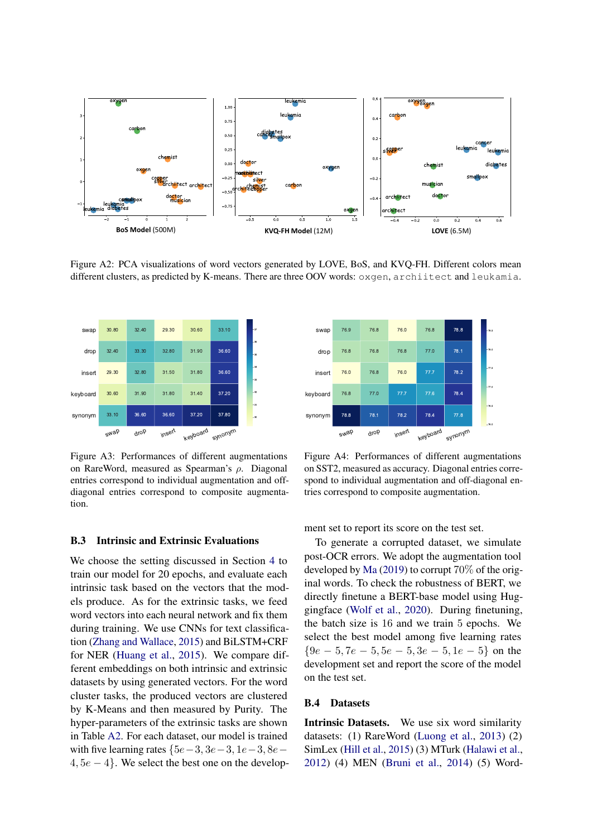<span id="page-14-2"></span>

Figure A2: PCA visualizations of word vectors generated by LOVE, BoS, and KVQ-FH. Different colors mean different clusters, as predicted by K-means. There are three OOV words: oxgen, archiitect and leukamia.

<span id="page-14-0"></span>

Figure A3: Performances of different augmentations on RareWord, measured as Spearman's ρ. Diagonal entries correspond to individual augmentation and offdiagonal entries correspond to composite augmentation.

<span id="page-14-1"></span>

Figure A4: Performances of different augmentations on SST2, measured as accuracy. Diagonal entries correspond to individual augmentation and off-diagonal entries correspond to composite augmentation.

## B.3 Intrinsic and Extrinsic Evaluations

We choose the setting discussed in Section [4](#page-3-0) to train our model for 20 epochs, and evaluate each intrinsic task based on the vectors that the models produce. As for the extrinsic tasks, we feed word vectors into each neural network and fix them during training. We use CNNs for text classification [\(Zhang and Wallace,](#page-11-20) [2015\)](#page-11-20) and BiLSTM+CRF for NER [\(Huang et al.,](#page-10-20) [2015\)](#page-10-20). We compare different embeddings on both intrinsic and extrinsic datasets by using generated vectors. For the word cluster tasks, the produced vectors are clustered by K-Means and then measured by Purity. The hyper-parameters of the extrinsic tasks are shown in Table [A2.](#page-13-4) For each dataset, our model is trained with five learning rates  ${5e-3, 3e-3, 1e-3, 8e 4, 5e - 4$ . We select the best one on the development set to report its score on the test set.

To generate a corrupted dataset, we simulate post-OCR errors. We adopt the augmentation tool developed by [Ma](#page-10-18) [\(2019\)](#page-10-18) to corrupt 70% of the original words. To check the robustness of BERT, we directly finetune a BERT-base model using Huggingface [\(Wolf et al.,](#page-11-21) [2020\)](#page-11-21). During finetuning, the batch size is 16 and we train 5 epochs. We select the best model among five learning rates  ${9e-5, 7e-5, 5e-5, 3e-5, 1e-5}$  on the development set and report the score of the model on the test set.

#### B.4 Datasets

Intrinsic Datasets. We use six word similarity datasets: (1) RareWord [\(Luong et al.,](#page-10-16) [2013\)](#page-10-16) (2) SimLex [\(Hill et al.,](#page-10-17) [2015\)](#page-10-17) (3) MTurk [\(Halawi et al.,](#page-9-19) [2012\)](#page-9-19) (4) MEN [\(Bruni et al.,](#page-9-20) [2014\)](#page-9-20) (5) Word-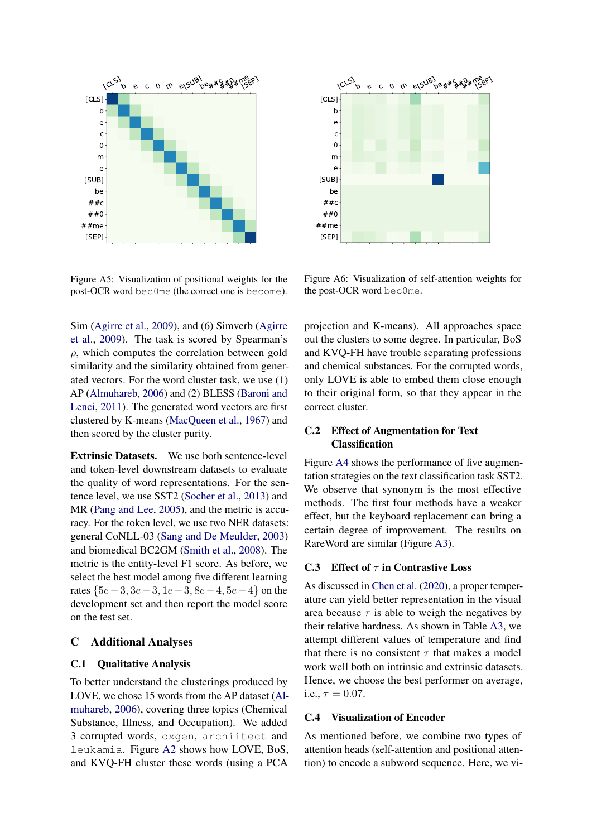<span id="page-15-1"></span>

Figure A5: Visualization of positional weights for the post-OCR word bec0me (the correct one is become).

<span id="page-15-2"></span>

Figure A6: Visualization of self-attention weights for the post-OCR word bec0me.

Sim [\(Agirre et al.,](#page-8-1) [2009\)](#page-8-1), and (6) Simverb [\(Agirre](#page-8-1) [et al.,](#page-8-1) [2009\)](#page-8-1). The task is scored by Spearman's  $\rho$ , which computes the correlation between gold similarity and the similarity obtained from generated vectors. For the word cluster task, we use (1) AP [\(Almuhareb,](#page-9-21) [2006\)](#page-9-21) and (2) BLESS [\(Baroni and](#page-9-22) [Lenci,](#page-9-22) [2011\)](#page-9-22). The generated word vectors are first clustered by K-means [\(MacQueen et al.,](#page-10-21) [1967\)](#page-10-21) and then scored by the cluster purity.

Extrinsic Datasets. We use both sentence-level and token-level downstream datasets to evaluate the quality of word representations. For the sentence level, we use SST2 [\(Socher et al.,](#page-11-12) [2013\)](#page-11-12) and MR [\(Pang and Lee,](#page-10-19) [2005\)](#page-10-19), and the metric is accuracy. For the token level, we use two NER datasets: general CoNLL-03 [\(Sang and De Meulder,](#page-11-18) [2003\)](#page-11-18) and biomedical BC2GM [\(Smith et al.,](#page-11-19) [2008\)](#page-11-19). The metric is the entity-level F1 score. As before, we select the best model among five different learning rates  ${5e-3, 3e-3, 1e-3, 8e-4, 5e-4}$  on the development set and then report the model score on the test set.

## C Additional Analyses

## C.1 Qualitative Analysis

To better understand the clusterings produced by LOVE, we chose 15 words from the AP dataset [\(Al](#page-9-21)[muhareb,](#page-9-21) [2006\)](#page-9-21), covering three topics (Chemical Substance, Illness, and Occupation). We added 3 corrupted words, oxgen, archiitect and leukamia. Figure [A2](#page-14-2) shows how LOVE, BoS, and KVQ-FH cluster these words (using a PCA

projection and K-means). All approaches space out the clusters to some degree. In particular, BoS and KVQ-FH have trouble separating professions and chemical substances. For the corrupted words, only LOVE is able to embed them close enough to their original form, so that they appear in the correct cluster.

# C.2 Effect of Augmentation for Text Classification

Figure [A4](#page-14-1) shows the performance of five augmentation strategies on the text classification task SST2. We observe that synonym is the most effective methods. The first four methods have a weaker effect, but the keyboard replacement can bring a certain degree of improvement. The results on RareWord are similar (Figure [A3\)](#page-14-0).

#### C.3 Effect of  $\tau$  in Contrastive Loss

As discussed in [Chen et al.](#page-9-10) [\(2020\)](#page-9-10), a proper temperature can yield better representation in the visual area because  $\tau$  is able to weigh the negatives by their relative hardness. As shown in Table [A3,](#page-16-0) we attempt different values of temperature and find that there is no consistent  $\tau$  that makes a model work well both on intrinsic and extrinsic datasets. Hence, we choose the best performer on average, i.e.,  $\tau = 0.07$ .

## <span id="page-15-0"></span>C.4 Visualization of Encoder

As mentioned before, we combine two types of attention heads (self-attention and positional attention) to encode a subword sequence. Here, we vi-